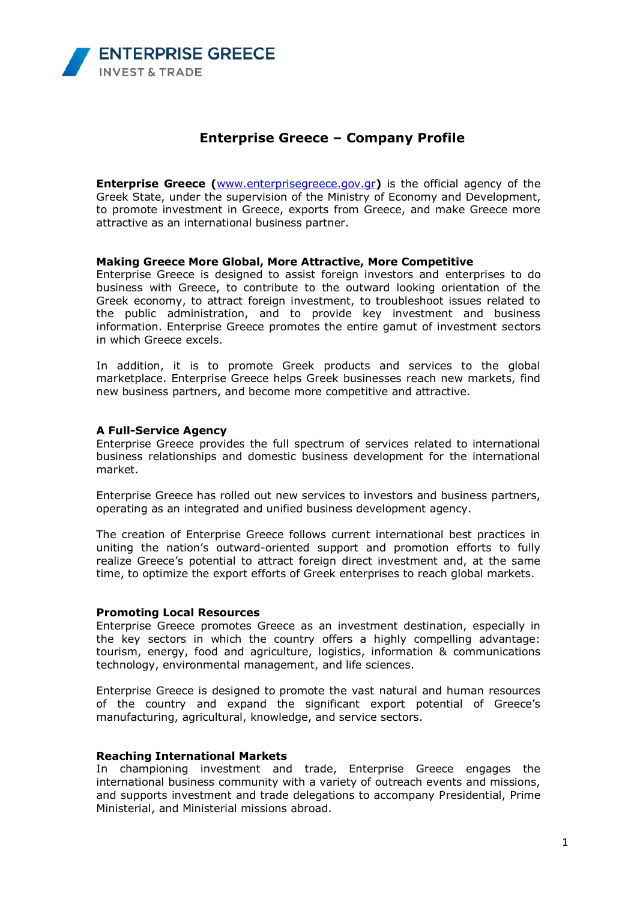

# **Enterprise Greece – Company Profile**

**Enterprise Greece (**[www.enterprisegreece.gov.gr](http://www.enterprisegreece.gov.gr/)**)** is the official agency of the Greek State, under the supervision of the Ministry of Economy and Development, to promote investment in Greece, exports from Greece, and make Greece more attractive as an international business partner.

# **Making Greece More Global, More Attractive, More Competitive**

Enterprise Greece is designed to assist foreign investors and enterprises to do business with Greece, to contribute to the outward looking orientation of the Greek economy, to attract foreign investment, to troubleshoot issues related to the public administration, and to provide key investment and business information. Enterprise Greece promotes the entire gamut of investment sectors in which Greece excels.

In addition, it is to promote Greek products and services to the global marketplace. Enterprise Greece helps Greek businesses reach new markets, find new business partners, and become more competitive and attractive.

#### **A Full-Service Agency**

Enterprise Greece provides the full spectrum of services related to international business relationships and domestic business development for the international market.

Enterprise Greece has rolled out new services to investors and business partners, operating as an integrated and unified business development agency.

The creation of Enterprise Greece follows current international best practices in uniting the nation's outward-oriented support and promotion efforts to fully realize Greece's potential to attract foreign direct investment and, at the same time, to optimize the export efforts of Greek enterprises to reach global markets.

#### **Promoting Local Resources**

Enterprise Greece promotes Greece as an investment destination, especially in the key sectors in which the country offers a highly compelling advantage: tourism, energy, food and agriculture, logistics, information & communications technology, environmental management, and life sciences.

Enterprise Greece is designed to promote the vast natural and human resources of the country and expand the significant export potential of Greece's manufacturing, agricultural, knowledge, and service sectors.

## **Reaching International Markets**

In championing investment and trade, Enterprise Greece engages the international business community with a variety of outreach events and missions, and supports investment and trade delegations to accompany Presidential, Prime Ministerial, and Ministerial missions abroad.